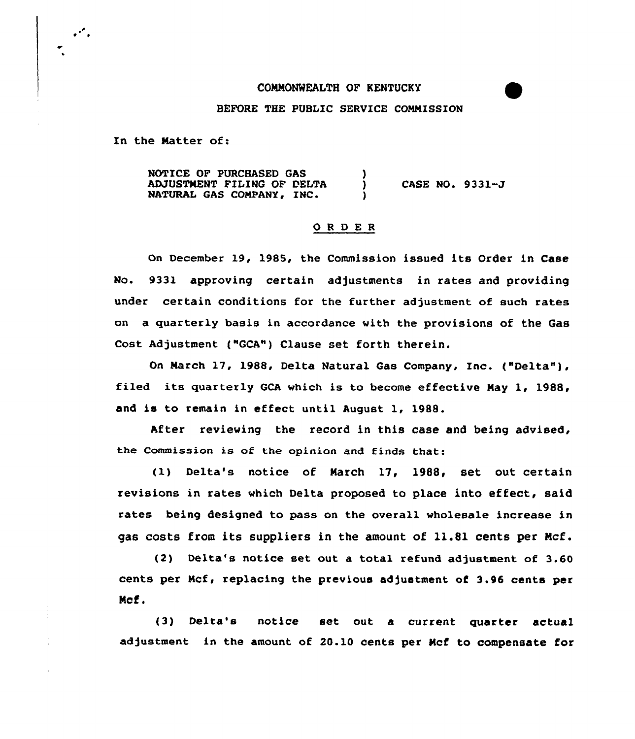#### CONNONWEALTH OF KENTUCKY

### BEFORE THE PUBLIC SERVICE COMMISSION

In the Matter of:

 $\cdot$  .

NOTICE OF PURCHASED GAS ADJUSTMENT FILING OF DELTA NATURAL GAS COMPANY, IN'ASE NO. 9331-J

## ORDER

On December 19, 1985, the Commission issued its Order in Case No. 933l approving certain adjustments in rates and providing under certain conditions for the further adjustment of such rates on a quarterly basis in accordance with the provisions of the Gas Cost Adjustment ("GCA") Clause set forth therein.

On March 17, l988, Delta Natural Gas Company, Inc. ("Delta" ), filed its quarterly GCA which is to become effective Nay 1, 1988, and is to remain in effect until August 1, 1988.

After reviewing the record in this case and being advised, the Commission is of the opinion and finds that:

(l) Delta's notice of Narch 17, 1988, set out certain revisions in rates which Delta proposed to place into effect, said rates being designed to pass on the overall wholesale increase in gas costs from its suppliers in the amount of 11.81 cents per Ncf.

(2) Delta's notice set out a total refund adjustment of 3.60 cents per Ncf, replacing the previous adjustment of 3.96 cents per Ncf.

(3) Delta's notice set out a current quarter actual adjustment in the amount of 20.10 cents per Ncf to compensate for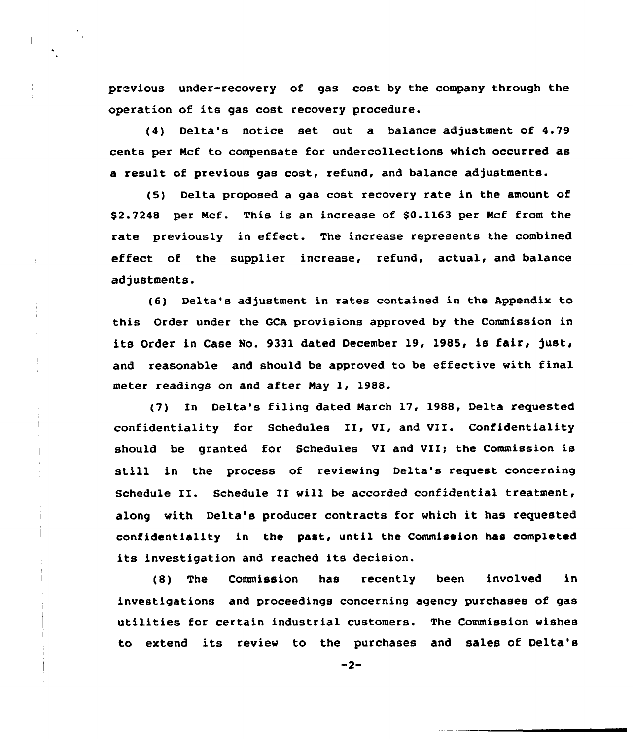previous under-recovery of gas cost by the company through the operation of its gas cost recovery procedure.

(4) Delta's notice set out a balance adjustment of 4.79 cents per Ncf to compensate for undercollections which occurred as a result of previous gas cost, refund, and balance adjustments.

(5) Delta proposed a gas cost recovery rate in the amount of \$2.7248 per Mcf. This is an increase of \$0.1163 per Mcf from the rate previously in effect. The increase represents the combined effect of the supplier increase, refund, actual, and balance adjustments.

(6) Delta's adjustment in rates contained in the Appendix to this Order under the GCA provisions approved by the Commission in its Order in Case No. 9331 dated December 19, 1985, is fair, just, and reasonable and should be approved to be effective with final meter readings on and after Nay 1, 1988.

(7) In Delta's filing dated Narch 17, 1988, Delta requested confidentiality for Schedules II, VI, and VII. Confidentiality should be granted for Schedules VI and VII; the Commission is still in the process of reviewing Delta's request concerning Schedule II. Schedule II will be accorded confidential treatment, along with Delta's producer contracts for which it has requested confidentiality in the past< until the Commission has completed its investigation and reached its decision.

(8) The Commission has recently been involved in investigations and proceedings concerning agency purchases of gas utilities for certain industrial customers. The Commission wishes to extend its review to the purchases and sales of Delta's

 $-2-$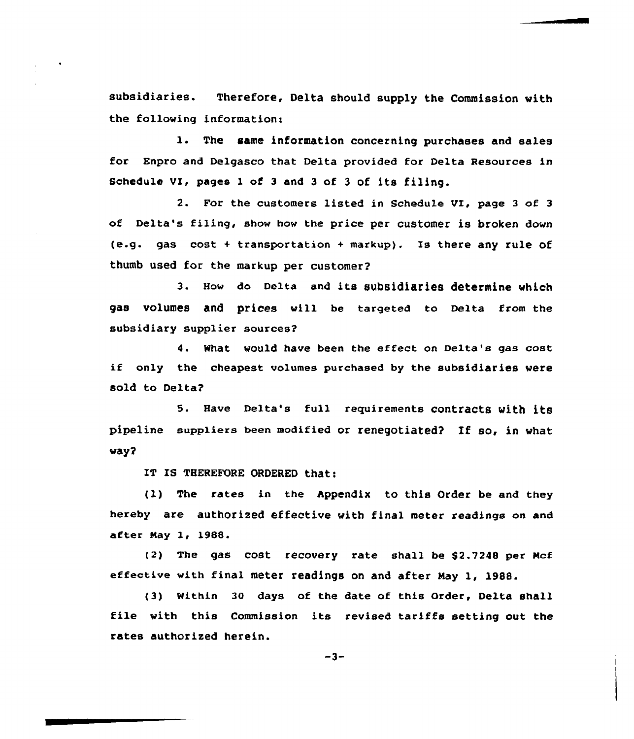subsidiaries. Therefore, Delta should supply the Commission with the following information:

1. The same information concerning purchases and sales for Enpro and Delgasco that Delta provided for Delta Resources in Schedule VX, pages 1 of <sup>3</sup> and <sup>3</sup> of <sup>3</sup> of its filing.

2. For the customers listed in Schedule VI, page <sup>3</sup> of <sup>3</sup> of Delta's filing, show how the price per customer is broken down (e.g. gas cost <sup>+</sup> transportation <sup>+</sup> markup). Is there any rule of thumb used for the markup per customer2

3. How do De1ta and its subsidiaries determine which gas volumes and prices will be targeted to Delta from the subsidiary supplier sources2

4. What would have been the effect on Delta's gas cost if only the cheapest volumes purchased by the subsidiaries were sold to Delta?

5. Have Delta's full requirements contracts with its pipeline suppliers been modified or renegotiated2 If so, in what way?

IT IS THEREFORE ORDERED that:

(1) The rates in the Appendix to this Order be and they hereby are authorized effective with final meter readings on and after Nay 1, 1988.

(2) The gas cost recovery rate shall be \$2.7248 per Mcf effective with final meter readings on and after May 1, 1988.

(3) within 30 days of the date of this Order, Delta shall file with this Commission its revised tariffs setting out the rates authorized herein.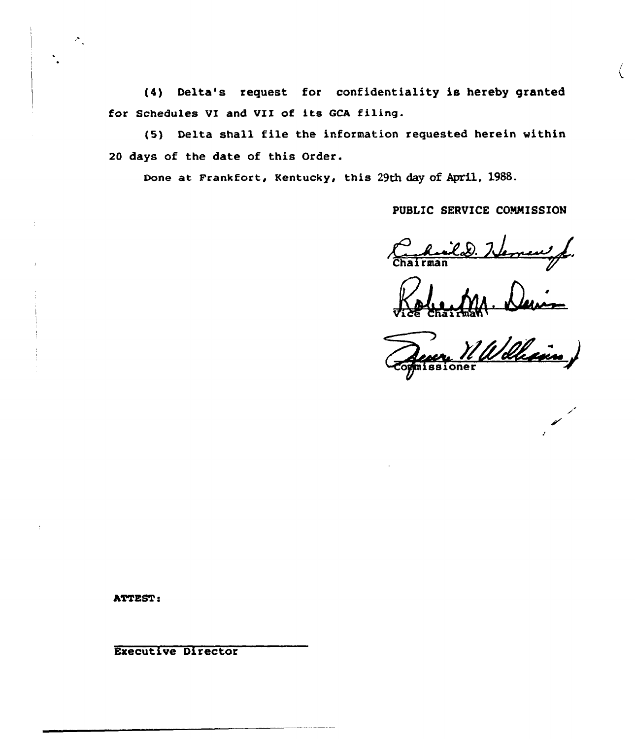(4) Delta's request for confidentiality is hereby granted for Schedules VI and VIZ of its GCA filing.

(5) Delta shall file the information requested herein within 20 days of the date of this Order.

Done at Frankfort, Kentucky, this 29th day of April, 1988.

# PUBLIC SERVICE COMMISSION

new f. silad.

Vice Chairman

Malle

hTTEST:

Executive Director